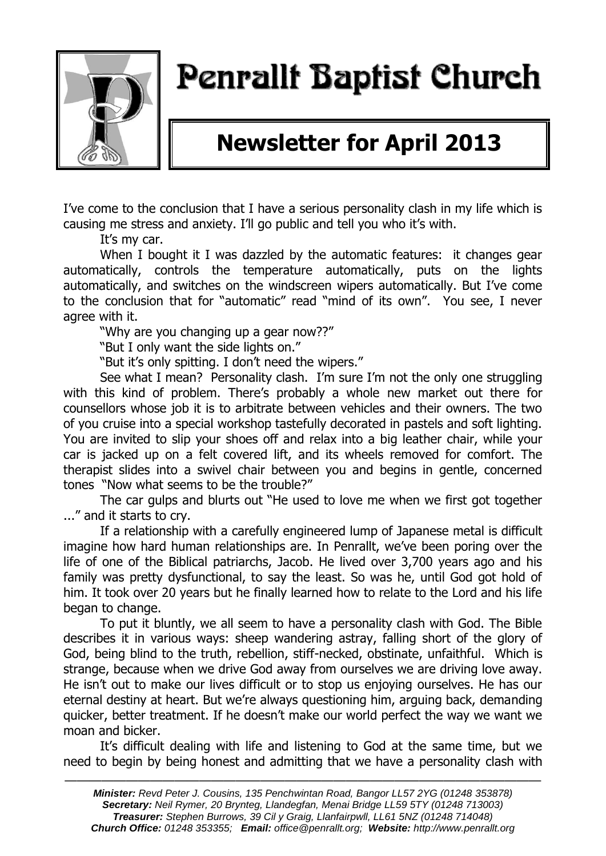

# Penrallt Baptist Church

## **Newsletter for April 2013**

I've come to the conclusion that I have a serious personality clash in my life which is causing me stress and anxiety. I'll go public and tell you who it's with.

It's my car.

When I bought it I was dazzled by the automatic features: it changes gear automatically, controls the temperature automatically, puts on the lights automatically, and switches on the windscreen wipers automatically. But I've come to the conclusion that for "automatic" read "mind of its own". You see, I never agree with it.

"Why are you changing up a gear now??"

"But I only want the side lights on."

"But it's only spitting. I don't need the wipers."

See what I mean? Personality clash. I'm sure I'm not the only one struggling with this kind of problem. There's probably a whole new market out there for counsellors whose job it is to arbitrate between vehicles and their owners. The two of you cruise into a special workshop tastefully decorated in pastels and soft lighting. You are invited to slip your shoes off and relax into a big leather chair, while your car is jacked up on a felt covered lift, and its wheels removed for comfort. The therapist slides into a swivel chair between you and begins in gentle, concerned tones "Now what seems to be the trouble?"

The car gulps and blurts out "He used to love me when we first got together ..." and it starts to cry.

If a relationship with a carefully engineered lump of Japanese metal is difficult imagine how hard human relationships are. In Penrallt, we've been poring over the life of one of the Biblical patriarchs, Jacob. He lived over 3,700 years ago and his family was pretty dysfunctional, to say the least. So was he, until God got hold of him. It took over 20 years but he finally learned how to relate to the Lord and his life began to change.

To put it bluntly, we all seem to have a personality clash with God. The Bible describes it in various ways: sheep wandering astray, falling short of the glory of God, being blind to the truth, rebellion, stiff-necked, obstinate, unfaithful. Which is strange, because when we drive God away from ourselves we are driving love away. He isn't out to make our lives difficult or to stop us enjoying ourselves. He has our eternal destiny at heart. But we're always questioning him, arguing back, demanding quicker, better treatment. If he doesn't make our world perfect the way we want we moan and bicker.

It's difficult dealing with life and listening to God at the same time, but we need to begin by being honest and admitting that we have a personality clash with

———————————————————————————————————————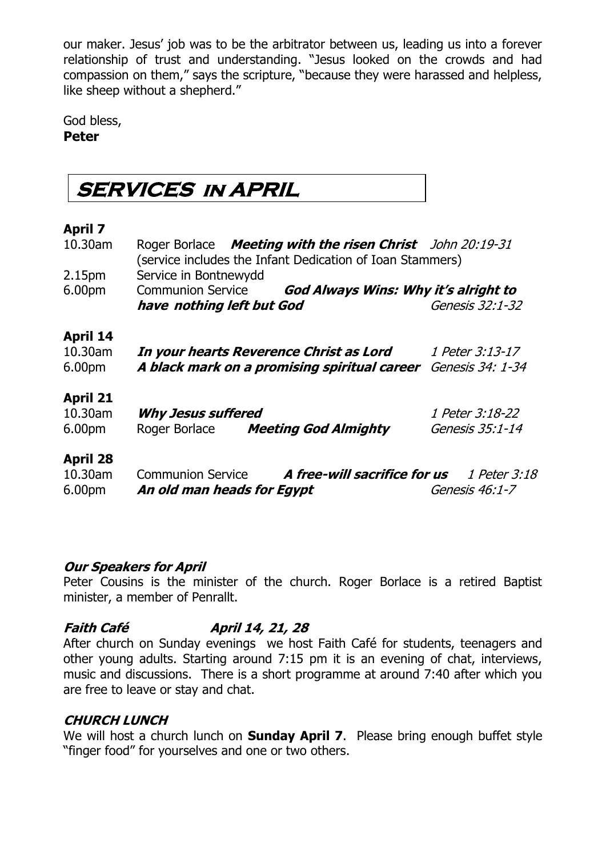our maker. Jesus' job was to be the arbitrator between us, leading us into a forever relationship of trust and understanding. "Jesus looked on the crowds and had compassion on them," says the scripture, "because they were harassed and helpless, like sheep without a shepherd."

God bless, **Peter**

## **SERVICES IN APRIL**

#### **April 7**

| 10.30am            | Roger Borlace Meeting with the risen Christ John 20:19-31<br>(service includes the Infant Dedication of Ioan Stammers) |                  |
|--------------------|------------------------------------------------------------------------------------------------------------------------|------------------|
| 2.15 <sub>pm</sub> | Service in Bontnewydd                                                                                                  |                  |
| 6.00pm             | Communion Service <b>God Always Wins: Why it's alright to</b>                                                          |                  |
|                    | have nothing left but God                                                                                              | Genesis 32:1-32  |
| <b>April 14</b>    |                                                                                                                        |                  |
| 10.30am            | In your hearts Reverence Christ as Lord                                                                                | 1 Peter 3:13-17  |
| 6.00 <sub>pm</sub> | A black mark on a promising spiritual career                                                                           | Genesis 34: 1-34 |
| <b>April 21</b>    |                                                                                                                        |                  |
| 10.30am            | <b>Why Jesus suffered</b>                                                                                              | 1 Peter 3:18-22  |
| 6.00 <sub>pm</sub> | Roger Borlace Meeting God Almighty                                                                                     | Genesis 35:1-14  |
| <b>April 28</b>    |                                                                                                                        |                  |
| 10.30am            | Communion Service <b>A free-will sacrifice for us</b> 1 Peter 3:18                                                     |                  |
| 6.00 <sub>pm</sub> | An old man heads for Egypt                                                                                             | Genesis 46:1-7   |

#### **Our Speakers for April**

Peter Cousins is the minister of the church. Roger Borlace is a retired Baptist minister, a member of Penrallt.

### **Faith Café April 14, 21, 28**

After church on Sunday evenings we host Faith Café for students, teenagers and other young adults. Starting around 7:15 pm it is an evening of chat, interviews, music and discussions. There is a short programme at around 7:40 after which you are free to leave or stay and chat.

### **CHURCH LUNCH**

We will host a church lunch on **Sunday April 7**. Please bring enough buffet style "finger food" for yourselves and one or two others.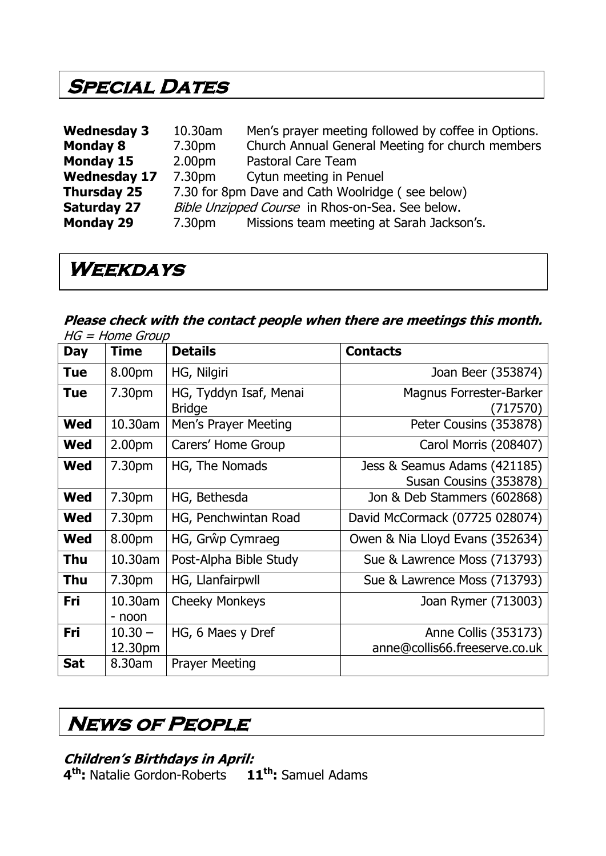### **SPECIAL DATES**

| <b>Wednesday 3</b>  | 10.30am                                          | Men's prayer meeting followed by coffee in Options. |  |
|---------------------|--------------------------------------------------|-----------------------------------------------------|--|
| <b>Monday 8</b>     | 7.30pm                                           | Church Annual General Meeting for church members    |  |
| <b>Monday 15</b>    | 2.00 <sub>pm</sub>                               | Pastoral Care Team                                  |  |
| <b>Wednesday 17</b> | 7.30pm                                           | Cytun meeting in Penuel                             |  |
| <b>Thursday 25</b>  | 7.30 for 8pm Dave and Cath Woolridge (see below) |                                                     |  |
| <b>Saturday 27</b>  | Bible Unzipped Course in Rhos-on-Sea. See below. |                                                     |  |
| <b>Monday 29</b>    | 7.30pm                                           | Missions team meeting at Sarah Jackson's.           |  |

### **Weekdays**

#### **Please check with the contact people when there are meetings this month.**  HG = Home Group

| <b>Day</b> | <b>Time</b>          | <b>Details</b>                          | <b>Contacts</b>                                        |
|------------|----------------------|-----------------------------------------|--------------------------------------------------------|
| <b>Tue</b> | 8.00pm               | HG, Nilgiri                             | Joan Beer (353874)                                     |
| Tue        | 7.30pm               | HG, Tyddyn Isaf, Menai<br><b>Bridge</b> | Magnus Forrester-Barker<br>(717570)                    |
| <b>Wed</b> | 10.30am              | Men's Prayer Meeting                    | Peter Cousins (353878)                                 |
| Wed        | 2.00 <sub>pm</sub>   | Carers' Home Group                      | Carol Morris (208407)                                  |
| <b>Wed</b> | 7.30pm               | HG, The Nomads                          | Jess & Seamus Adams (421185)<br>Susan Cousins (353878) |
| <b>Wed</b> | 7.30pm               | HG, Bethesda                            | Jon & Deb Stammers (602868)                            |
| Wed        | 7.30 <sub>pm</sub>   | HG, Penchwintan Road                    | David McCormack (07725 028074)                         |
| <b>Wed</b> | 8.00pm               | HG, Grŵp Cymraeg                        | Owen & Nia Lloyd Evans (352634)                        |
| <b>Thu</b> | 10.30am              | Post-Alpha Bible Study                  | Sue & Lawrence Moss (713793)                           |
| <b>Thu</b> | 7.30pm               | HG, Llanfairpwll                        | Sue & Lawrence Moss (713793)                           |
| Fri        | 10.30am<br>- noon    | <b>Cheeky Monkeys</b>                   | Joan Rymer (713003)                                    |
| Fri        | $10.30 -$<br>12.30pm | HG, 6 Maes y Dref                       | Anne Collis (353173)<br>anne@collis66.freeserve.co.uk  |
| <b>Sat</b> | 8.30am               | <b>Prayer Meeting</b>                   |                                                        |

### **News of People**

### **Children's Birthdays in April:**

**4 th:** Natalie Gordon-Roberts **11th:** Samuel Adams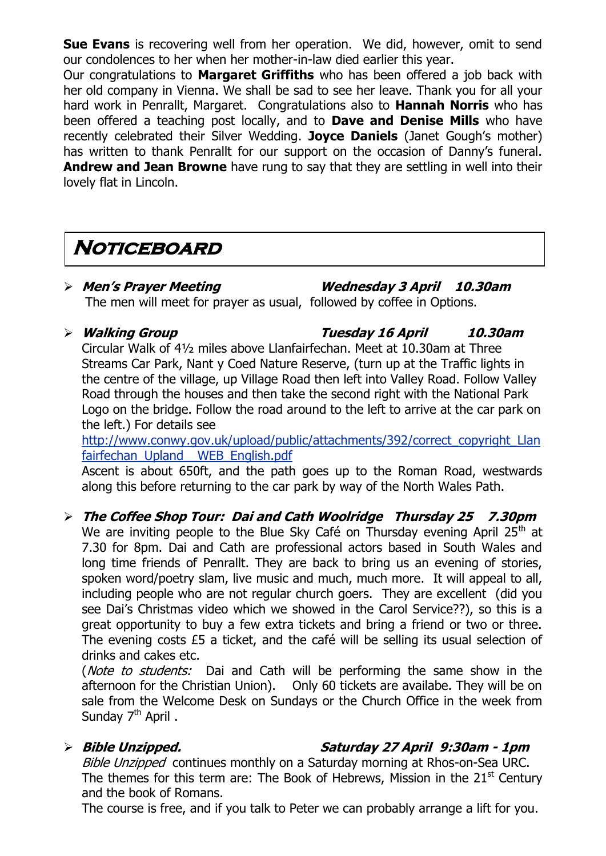**Sue Evans** is recovering well from her operation. We did, however, omit to send our condolences to her when her mother-in-law died earlier this year.

Our congratulations to **Margaret Griffiths** who has been offered a job back with her old company in Vienna. We shall be sad to see her leave. Thank you for all your hard work in Penrallt, Margaret. Congratulations also to **Hannah Norris** who has been offered a teaching post locally, and to **Dave and Denise Mills** who have recently celebrated their Silver Wedding. **Joyce Daniels** (Janet Gough's mother) has written to thank Penrallt for our support on the occasion of Danny's funeral. **Andrew and Jean Browne** have rung to say that they are settling in well into their lovely flat in Lincoln.

## **Noticeboard**

#### **Men's Prayer Meeting Wednesday 3 April 10.30am** The men will meet for prayer as usual, followed by coffee in Options.

#### **Walking Group Tuesday 16 April 10.30am** Circular Walk of 4½ miles above Llanfairfechan. Meet at 10.30am at Three Streams Car Park, Nant y Coed Nature Reserve, (turn up at the Traffic lights in the centre of the village, up Village Road then left into Valley Road. Follow Valley Road through the houses and then take the second right with the National Park Logo on the bridge. Follow the road around to the left to arrive at the car park on

the left.) For details see [http://www.conwy.gov.uk/upload/public/attachments/392/correct\\_copyright\\_Llan](http://www.conwy.gov.uk/upload/public/attachments/392/correct_copyright_Llanfairfechan_Upland__WEB_English.pdf) fairfechan\_Upland WEB\_English.pdf

Ascent is about 650ft, and the path goes up to the Roman Road, westwards along this before returning to the car park by way of the North Wales Path.

#### **The Coffee Shop Tour: Dai and Cath Woolridge Thursday 25 7.30pm** We are inviting people to the Blue Sky Café on Thursday evening April  $25<sup>th</sup>$  at 7.30 for 8pm. Dai and Cath are professional actors based in South Wales and long time friends of Penrallt. They are back to bring us an evening of stories, spoken word/poetry slam, live music and much, much more. It will appeal to all, including people who are not regular church goers. They are excellent (did you see Dai's Christmas video which we showed in the Carol Service??), so this is a great opportunity to buy a few extra tickets and bring a friend or two or three. The evening costs £5 a ticket, and the café will be selling its usual selection of drinks and cakes etc.

(*Note to students:* Dai and Cath will be performing the same show in the afternoon for the Christian Union). Only 60 tickets are availabe. They will be on sale from the Welcome Desk on Sundays or the Church Office in the week from Sunday 7<sup>th</sup> April.

### **Bible Unzipped. Saturday 27 April 9:30am - 1pm**

Bible Unzipped continues monthly on a Saturday morning at Rhos-on-Sea URC. The themes for this term are: The Book of Hebrews, Mission in the  $21<sup>st</sup>$  Century and the book of Romans.

The course is free, and if you talk to Peter we can probably arrange a lift for you.